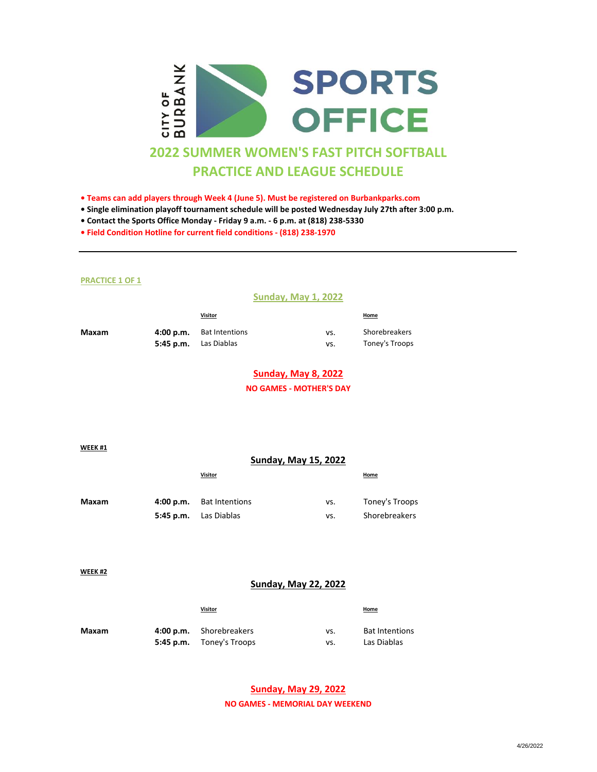

- **Teams can add players through Week 4 (June 5). Must be registered on Burbankparks.com**
- **Single elimination playoff tournament schedule will be posted Wednesday July 27th after 3:00 p.m.**
- **Contact the Sports Office Monday Friday 9 a.m. 6 p.m. at (818) 238-5330**
- **Field Condition Hotline for current field conditions (818) 238-1970**

#### **PRACTICE 1 OF 1**

### **Sunday, May 1, 2022**

|       | <b>Visitor</b>               |     | <b>Home</b>    |
|-------|------------------------------|-----|----------------|
| Maxam | 4:00 p.m. Bat Intentions     | VS. | Shorebreakers  |
|       | <b>5:45 p.m.</b> Las Diablas | VS. | Toney's Troops |

### **Sunday, May 8, 2022**

**NO GAMES - MOTHER'S DAY**

**WEEK #1**

|       |           | <b>Sunday, May 15, 2022</b> |     |                |
|-------|-----------|-----------------------------|-----|----------------|
|       |           | Visitor                     |     | <b>Home</b>    |
| Maxam | 4:00 p.m. | <b>Bat Intentions</b>       | vs. | Toney's Troops |
|       | 5:45 p.m. | Las Diablas                 | vs. | Shorebreakers  |

**WEEK #2**

### **Sunday, May 22, 2022**

|       | Visitor                  |     | <b>Home</b>           |
|-------|--------------------------|-----|-----------------------|
| Maxam | 4:00 p.m. Shorebreakers  | vs. | <b>Bat Intentions</b> |
|       | 5:45 p.m. Toney's Troops | VS. | Las Diablas           |

# **Sunday, May 29, 2022**

**NO GAMES - MEMORIAL DAY WEEKEND**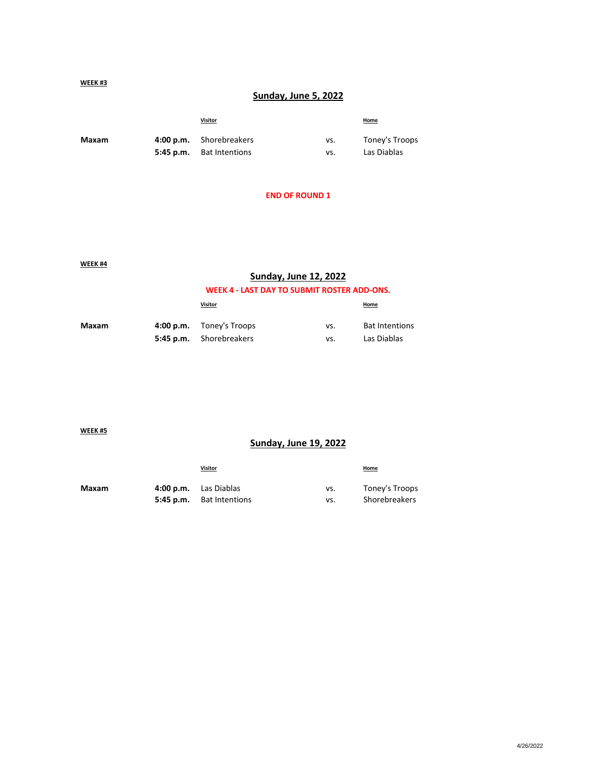### **WEEK #3**

# **Sunday, June 5, 2022**

|       | <b>Visitor</b>                  |     | <b>Home</b>    |
|-------|---------------------------------|-----|----------------|
| Maxam | 4:00 p.m. Shorebreakers         | vs. | Toney's Troops |
|       | <b>5:45 p.m.</b> Bat Intentions | VS. | Las Diablas    |

# **END OF ROUND 1**

**WEEK #4**

## **Sunday, June 12, 2022**

## **WEEK 4 - LAST DAY TO SUBMIT ROSTER ADD-ONS.**

|       | Visitor                  |     | Home                  |
|-------|--------------------------|-----|-----------------------|
| Maxam | 4:00 p.m. Toney's Troops | vs. | <b>Bat Intentions</b> |
|       | 5:45 p.m. Shorebreakers  | VS. | Las Diablas           |

**WEEK #5**

# **Sunday, June 19, 2022**

|       | <b>Visitor</b>                  |     | <b>Home</b>    |
|-------|---------------------------------|-----|----------------|
| Maxam | 4:00 p.m. Las Diablas           | VS. | Toney's Troops |
|       | <b>5:45 p.m.</b> Bat Intentions | VS. | Shorebreakers  |